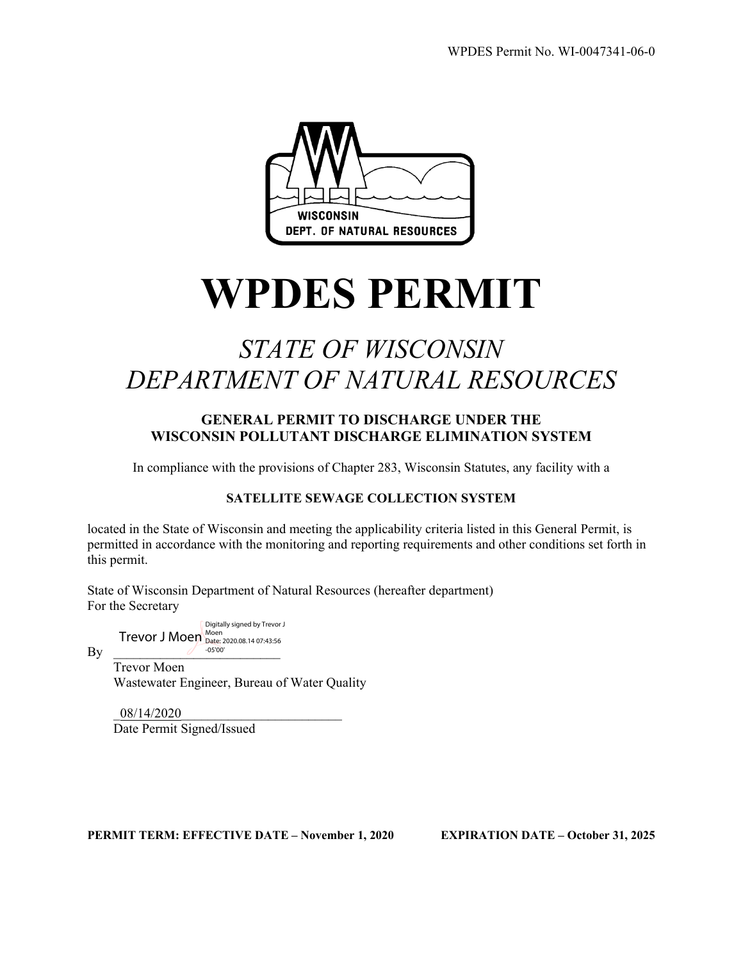

# **WPDES PERMIT**

# *STATE OF WISCONSIN DEPARTMENT OF NATURAL RESOURCES*

#### **GENERAL PERMIT TO DISCHARGE UNDER THE WISCONSIN POLLUTANT DISCHARGE ELIMINATION SYSTEM**

In compliance with the provisions of Chapter 283, Wisconsin Statutes, any facility with a

#### **SATELLITE SEWAGE COLLECTION SYSTEM**

located in the State of Wisconsin and meeting the applicability criteria listed in this General Permit, is permitted in accordance with the monitoring and reporting requirements and other conditions set forth in this permit.

State of Wisconsin Department of Natural Resources (hereafter department) For the Secretary

 $T$ revor J Moen  $_{\text{Date: } 2020.08.14.07:43:56}^{\text{Moen}}$ Digitally signed by Trevor J -05'00'

 $\mathbf{By}$   $\overline{\phantom{a}}$ Trevor Moen

Wastewater Engineer, Bureau of Water Quality

\_08/14/2020\_\_\_\_\_\_\_\_\_\_\_\_\_\_\_\_\_\_\_\_\_\_\_\_ Date Permit Signed/Issued

**PERMIT TERM: EFFECTIVE DATE – November 1, 2020 EXPIRATION DATE – October 31, 2025**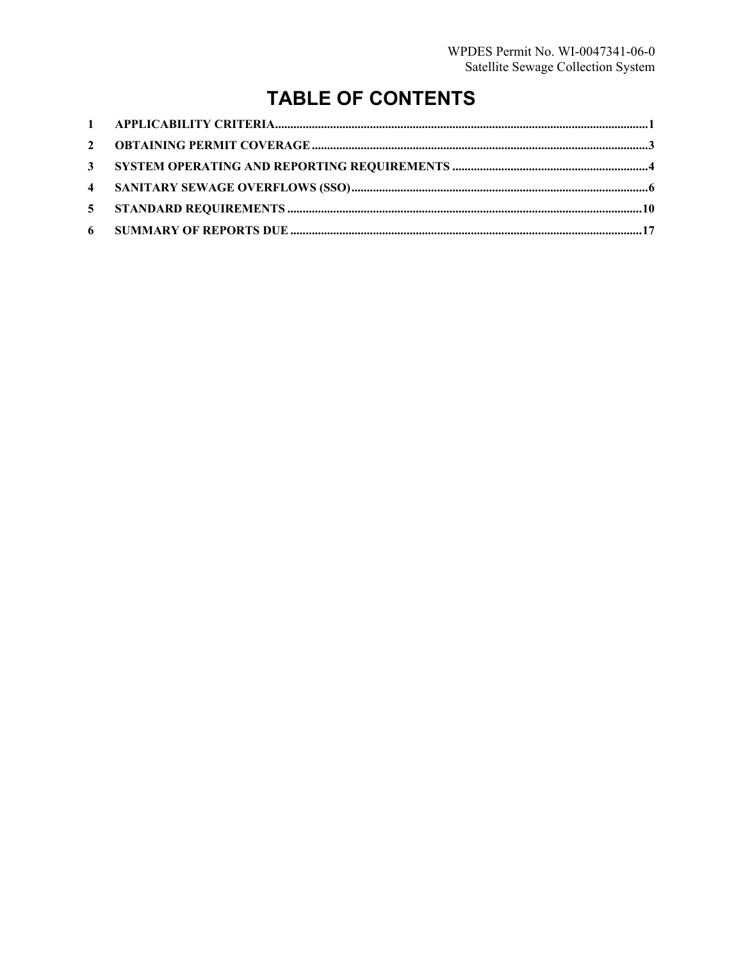# **TABLE OF CONTENTS**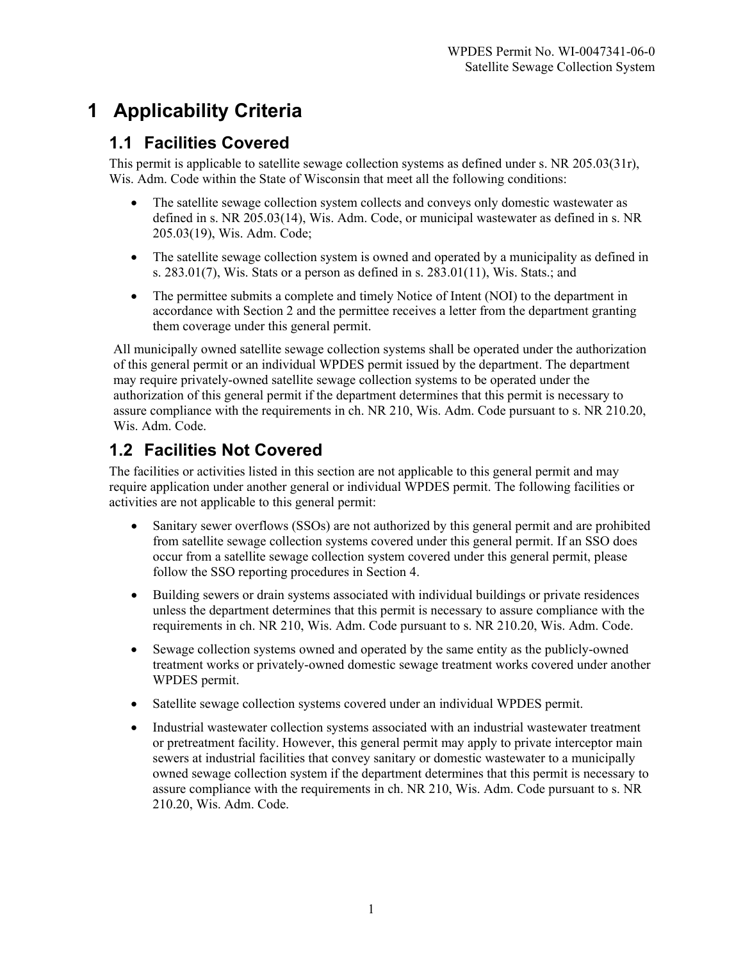# **1 Applicability Criteria**

# **1.1 Facilities Covered**

This permit is applicable to satellite sewage collection systems as defined under s. NR 205.03(31r), Wis. Adm. Code within the State of Wisconsin that meet all the following conditions:

- The satellite sewage collection system collects and conveys only domestic wastewater as defined in s. NR 205.03(14), Wis. Adm. Code, or municipal wastewater as defined in s. NR 205.03(19), Wis. Adm. Code;
- The satellite sewage collection system is owned and operated by a municipality as defined in s.  $283.01(7)$ , Wis. Stats or a person as defined in s.  $283.01(11)$ , Wis. Stats.; and
- The permittee submits a complete and timely Notice of Intent (NOI) to the department in accordance with Section 2 and the permittee receives a letter from the department granting them coverage under this general permit.

All municipally owned satellite sewage collection systems shall be operated under the authorization of this general permit or an individual WPDES permit issued by the department. The department may require privately-owned satellite sewage collection systems to be operated under the authorization of this general permit if the department determines that this permit is necessary to assure compliance with the requirements in ch. NR 210, Wis. Adm. Code pursuant to s. NR 210.20, Wis. Adm. Code.

# **1.2 Facilities Not Covered**

The facilities or activities listed in this section are not applicable to this general permit and may require application under another general or individual WPDES permit. The following facilities or activities are not applicable to this general permit:

- Sanitary sewer overflows (SSOs) are not authorized by this general permit and are prohibited from satellite sewage collection systems covered under this general permit. If an SSO does occur from a satellite sewage collection system covered under this general permit, please follow the SSO reporting procedures in Section 4.
- Building sewers or drain systems associated with individual buildings or private residences unless the department determines that this permit is necessary to assure compliance with the requirements in ch. NR 210, Wis. Adm. Code pursuant to s. NR 210.20, Wis. Adm. Code.
- Sewage collection systems owned and operated by the same entity as the publicly-owned treatment works or privately-owned domestic sewage treatment works covered under another WPDES permit.
- Satellite sewage collection systems covered under an individual WPDES permit.
- Industrial wastewater collection systems associated with an industrial wastewater treatment or pretreatment facility. However, this general permit may apply to private interceptor main sewers at industrial facilities that convey sanitary or domestic wastewater to a municipally owned sewage collection system if the department determines that this permit is necessary to assure compliance with the requirements in ch. NR 210, Wis. Adm. Code pursuant to s. NR 210.20, Wis. Adm. Code.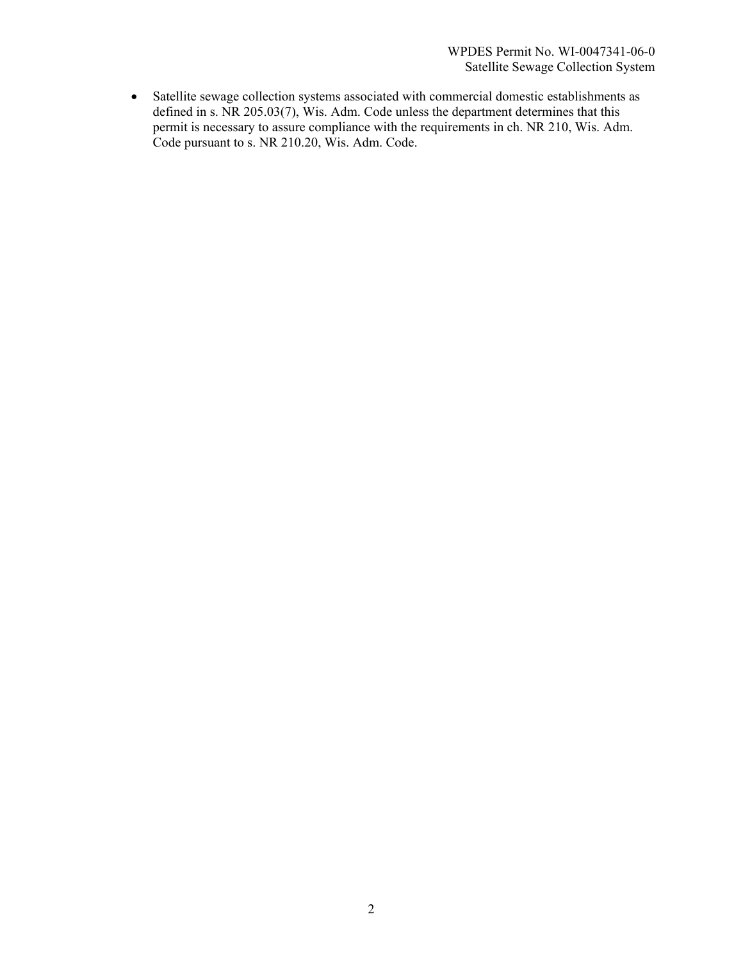• Satellite sewage collection systems associated with commercial domestic establishments as defined in s. NR 205.03(7), Wis. Adm. Code unless the department determines that this permit is necessary to assure compliance with the requirements in ch. NR 210, Wis. Adm. Code pursuant to s. NR 210.20, Wis. Adm. Code.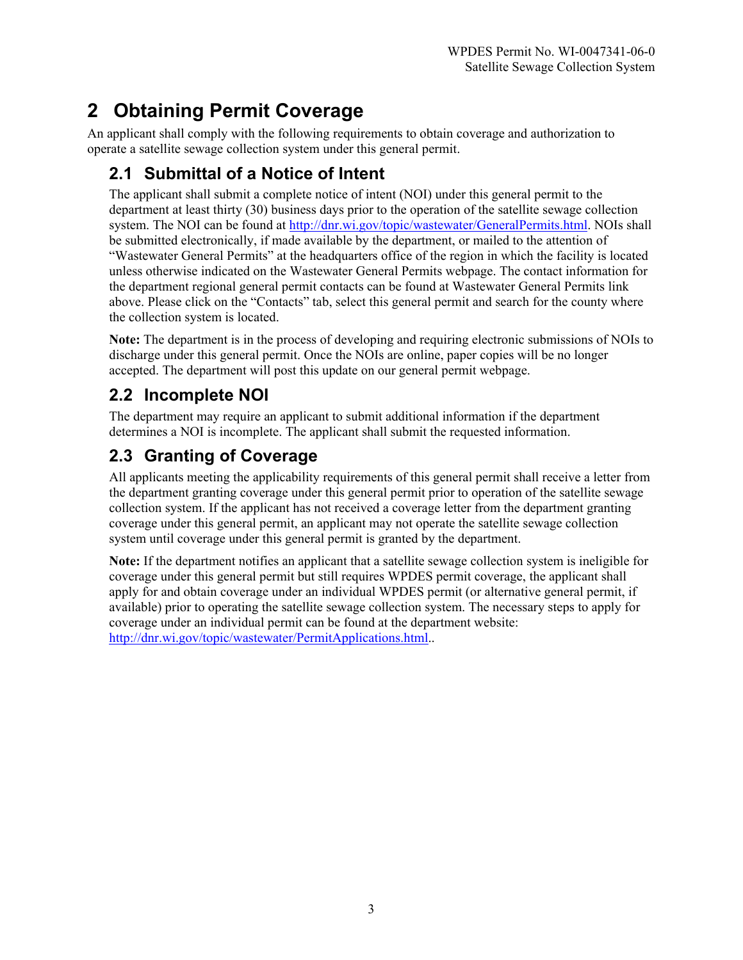# **2 Obtaining Permit Coverage**

An applicant shall comply with the following requirements to obtain coverage and authorization to operate a satellite sewage collection system under this general permit.

# **2.1 Submittal of a Notice of Intent**

The applicant shall submit a complete notice of intent (NOI) under this general permit to the department at least thirty (30) business days prior to the operation of the satellite sewage collection system. The NOI can be found at [http://dnr.wi.gov/topic/wastewater/GeneralPermits.html.](http://dnr.wi.gov/topic/wastewater/GeneralPermits.html) NOIs shall be submitted electronically, if made available by the department, or mailed to the attention of "Wastewater General Permits" at the headquarters office of the region in which the facility is located unless otherwise indicated on the Wastewater General Permits webpage. The contact information for the department regional general permit contacts can be found at Wastewater General Permits link above. Please click on the "Contacts" tab, select this general permit and search for the county where the collection system is located.

**Note:** The department is in the process of developing and requiring electronic submissions of NOIs to discharge under this general permit. Once the NOIs are online, paper copies will be no longer accepted. The department will post this update on our general permit webpage.

# **2.2 Incomplete NOI**

The department may require an applicant to submit additional information if the department determines a NOI is incomplete. The applicant shall submit the requested information.

# **2.3 Granting of Coverage**

All applicants meeting the applicability requirements of this general permit shall receive a letter from the department granting coverage under this general permit prior to operation of the satellite sewage collection system. If the applicant has not received a coverage letter from the department granting coverage under this general permit, an applicant may not operate the satellite sewage collection system until coverage under this general permit is granted by the department.

**Note:** If the department notifies an applicant that a satellite sewage collection system is ineligible for coverage under this general permit but still requires WPDES permit coverage, the applicant shall apply for and obtain coverage under an individual WPDES permit (or alternative general permit, if available) prior to operating the satellite sewage collection system. The necessary steps to apply for coverage under an individual permit can be found at the department website: [http://dnr.wi.gov/topic/wastewater/PermitApplications.html.](http://dnr.wi.gov/topic/wastewater/PermitApplications.html).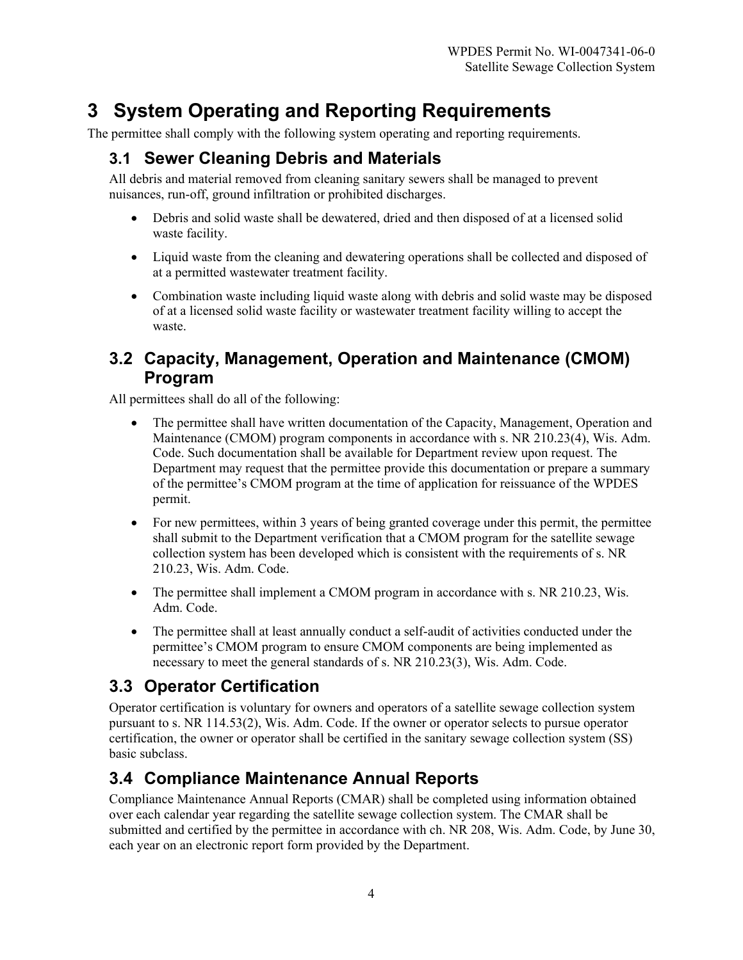# **3 System Operating and Reporting Requirements**

The permittee shall comply with the following system operating and reporting requirements.

#### **3.1 Sewer Cleaning Debris and Materials**

All debris and material removed from cleaning sanitary sewers shall be managed to prevent nuisances, run-off, ground infiltration or prohibited discharges.

- Debris and solid waste shall be dewatered, dried and then disposed of at a licensed solid waste facility.
- Liquid waste from the cleaning and dewatering operations shall be collected and disposed of at a permitted wastewater treatment facility.
- Combination waste including liquid waste along with debris and solid waste may be disposed of at a licensed solid waste facility or wastewater treatment facility willing to accept the waste.

#### **3.2 Capacity, Management, Operation and Maintenance (CMOM) Program**

All permittees shall do all of the following:

- The permittee shall have written documentation of the Capacity, Management, Operation and Maintenance (CMOM) program components in accordance with s. NR 210.23(4), Wis. Adm. Code. Such documentation shall be available for Department review upon request. The Department may request that the permittee provide this documentation or prepare a summary of the permittee's CMOM program at the time of application for reissuance of the WPDES permit.
- For new permittees, within 3 years of being granted coverage under this permit, the permittee shall submit to the Department verification that a CMOM program for the satellite sewage collection system has been developed which is consistent with the requirements of s. NR 210.23, Wis. Adm. Code.
- The permittee shall implement a CMOM program in accordance with s. NR 210.23, Wis. Adm. Code.
- The permittee shall at least annually conduct a self-audit of activities conducted under the permittee's CMOM program to ensure CMOM components are being implemented as necessary to meet the general standards of s. NR 210.23(3), Wis. Adm. Code.

# **3.3 Operator Certification**

Operator certification is voluntary for owners and operators of a satellite sewage collection system pursuant to s. NR 114.53(2), Wis. Adm. Code. If the owner or operator selects to pursue operator certification, the owner or operator shall be certified in the sanitary sewage collection system (SS) basic subclass.

# **3.4 Compliance Maintenance Annual Reports**

Compliance Maintenance Annual Reports (CMAR) shall be completed using information obtained over each calendar year regarding the satellite sewage collection system. The CMAR shall be submitted and certified by the permittee in accordance with ch. NR 208, Wis. Adm. Code, by June 30, each year on an electronic report form provided by the Department.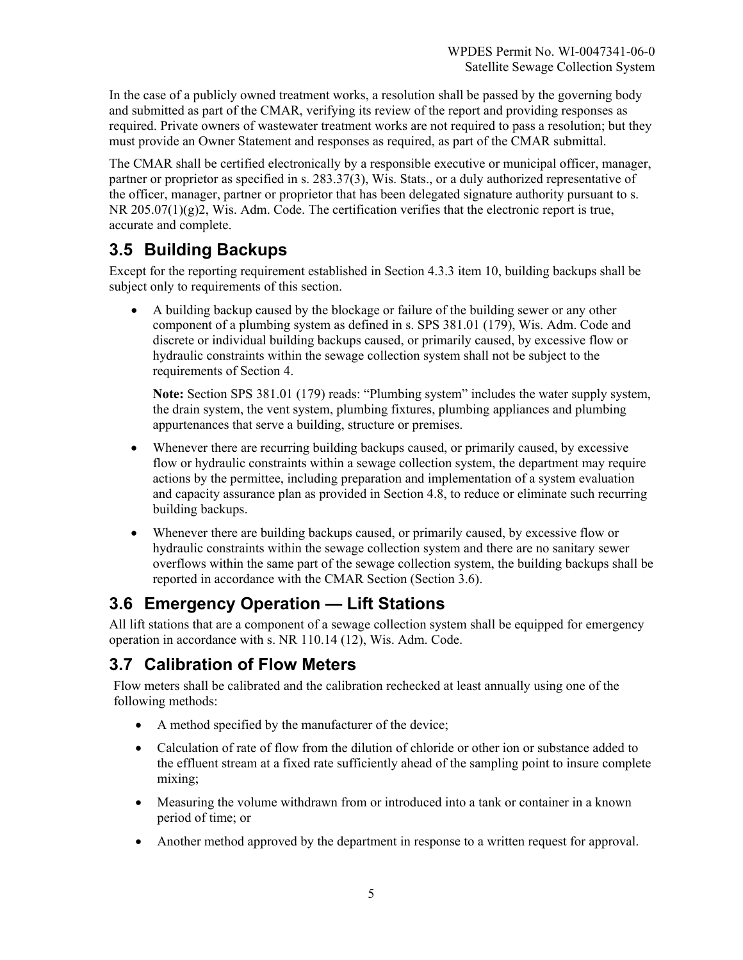In the case of a publicly owned treatment works, a resolution shall be passed by the governing body and submitted as part of the CMAR, verifying its review of the report and providing responses as required. Private owners of wastewater treatment works are not required to pass a resolution; but they must provide an Owner Statement and responses as required, as part of the CMAR submittal.

The CMAR shall be certified electronically by a responsible executive or municipal officer, manager, partner or proprietor as specified in s. 283.37(3), Wis. Stats., or a duly authorized representative of the officer, manager, partner or proprietor that has been delegated signature authority pursuant to s.  $NR$  205.07(1)(g)2, Wis. Adm. Code. The certification verifies that the electronic report is true, accurate and complete.

# **3.5 Building Backups**

Except for the reporting requirement established in Section 4.3.3 item 10, building backups shall be subject only to requirements of this section.

• A building backup caused by the blockage or failure of the building sewer or any other component of a plumbing system as defined in s. SPS 381.01 (179), Wis. Adm. Code and discrete or individual building backups caused, or primarily caused, by excessive flow or hydraulic constraints within the sewage collection system shall not be subject to the requirements of Section 4.

**Note:** Section SPS 381.01 (179) reads: "Plumbing system" includes the water supply system, the drain system, the vent system, plumbing fixtures, plumbing appliances and plumbing appurtenances that serve a building, structure or premises.

- Whenever there are recurring building backups caused, or primarily caused, by excessive flow or hydraulic constraints within a sewage collection system, the department may require actions by the permittee, including preparation and implementation of a system evaluation and capacity assurance plan as provided in Section 4.8, to reduce or eliminate such recurring building backups.
- Whenever there are building backups caused, or primarily caused, by excessive flow or hydraulic constraints within the sewage collection system and there are no sanitary sewer overflows within the same part of the sewage collection system, the building backups shall be reported in accordance with the CMAR Section (Section 3.6).

# **3.6 Emergency Operation — Lift Stations**

All lift stations that are a component of a sewage collection system shall be equipped for emergency operation in accordance with s. NR 110.14 (12), Wis. Adm. Code.

# **3.7 Calibration of Flow Meters**

Flow meters shall be calibrated and the calibration rechecked at least annually using one of the following methods:

- A method specified by the manufacturer of the device;
- Calculation of rate of flow from the dilution of chloride or other ion or substance added to the effluent stream at a fixed rate sufficiently ahead of the sampling point to insure complete mixing;
- Measuring the volume withdrawn from or introduced into a tank or container in a known period of time; or
- Another method approved by the department in response to a written request for approval.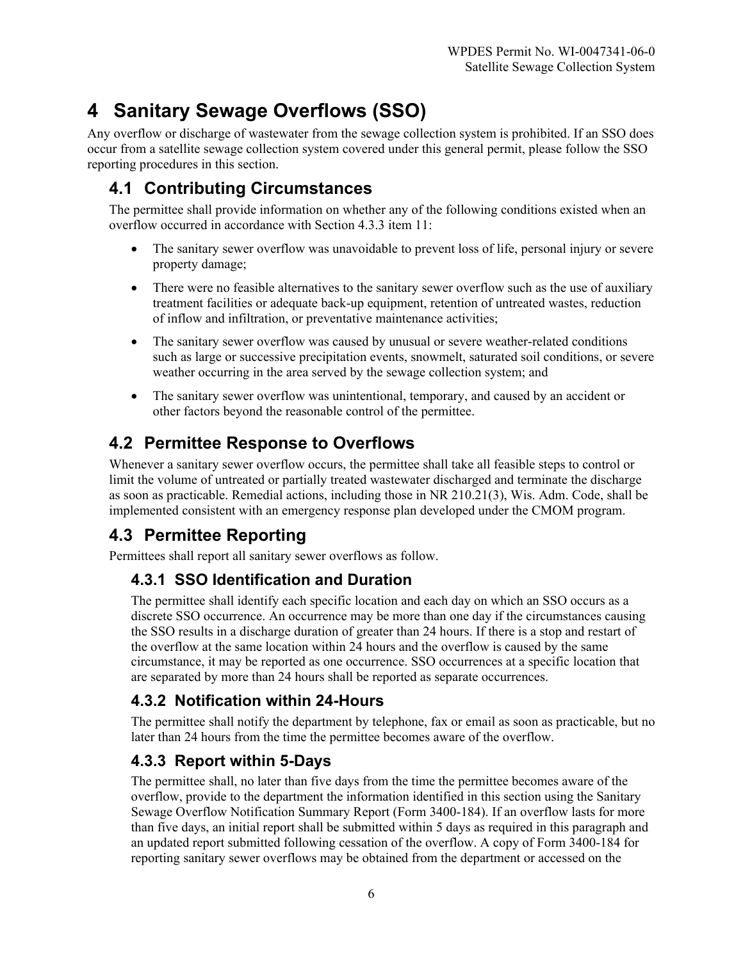# **4 Sanitary Sewage Overflows (SSO)**

Any overflow or discharge of wastewater from the sewage collection system is prohibited. If an SSO does occur from a satellite sewage collection system covered under this general permit, please follow the SSO reporting procedures in this section.

# **4.1 Contributing Circumstances**

The permittee shall provide information on whether any of the following conditions existed when an overflow occurred in accordance with Section 4.3.3 item 11:

- The sanitary sewer overflow was unavoidable to prevent loss of life, personal injury or severe property damage;
- There were no feasible alternatives to the sanitary sewer overflow such as the use of auxiliary treatment facilities or adequate back-up equipment, retention of untreated wastes, reduction of inflow and infiltration, or preventative maintenance activities;
- The sanitary sewer overflow was caused by unusual or severe weather-related conditions such as large or successive precipitation events, snowmelt, saturated soil conditions, or severe weather occurring in the area served by the sewage collection system; and
- The sanitary sewer overflow was unintentional, temporary, and caused by an accident or other factors beyond the reasonable control of the permittee.

# **4.2 Permittee Response to Overflows**

Whenever a sanitary sewer overflow occurs, the permittee shall take all feasible steps to control or limit the volume of untreated or partially treated wastewater discharged and terminate the discharge as soon as practicable. Remedial actions, including those in NR 210.21(3), Wis. Adm. Code, shall be implemented consistent with an emergency response plan developed under the CMOM program.

# **4.3 Permittee Reporting**

Permittees shall report all sanitary sewer overflows as follow.

#### **4.3.1 SSO Identification and Duration**

The permittee shall identify each specific location and each day on which an SSO occurs as a discrete SSO occurrence. An occurrence may be more than one day if the circumstances causing the SSO results in a discharge duration of greater than 24 hours. If there is a stop and restart of the overflow at the same location within 24 hours and the overflow is caused by the same circumstance, it may be reported as one occurrence. SSO occurrences at a specific location that are separated by more than 24 hours shall be reported as separate occurrences.

#### **4.3.2 Notification within 24-Hours**

The permittee shall notify the department by telephone, fax or email as soon as practicable, but no later than 24 hours from the time the permittee becomes aware of the overflow.

#### **4.3.3 Report within 5-Days**

The permittee shall, no later than five days from the time the permittee becomes aware of the overflow, provide to the department the information identified in this section using the Sanitary Sewage Overflow Notification Summary Report (Form 3400-184). If an overflow lasts for more than five days, an initial report shall be submitted within 5 days as required in this paragraph and an updated report submitted following cessation of the overflow. A copy of Form 3400-184 for reporting sanitary sewer overflows may be obtained from the department or accessed on the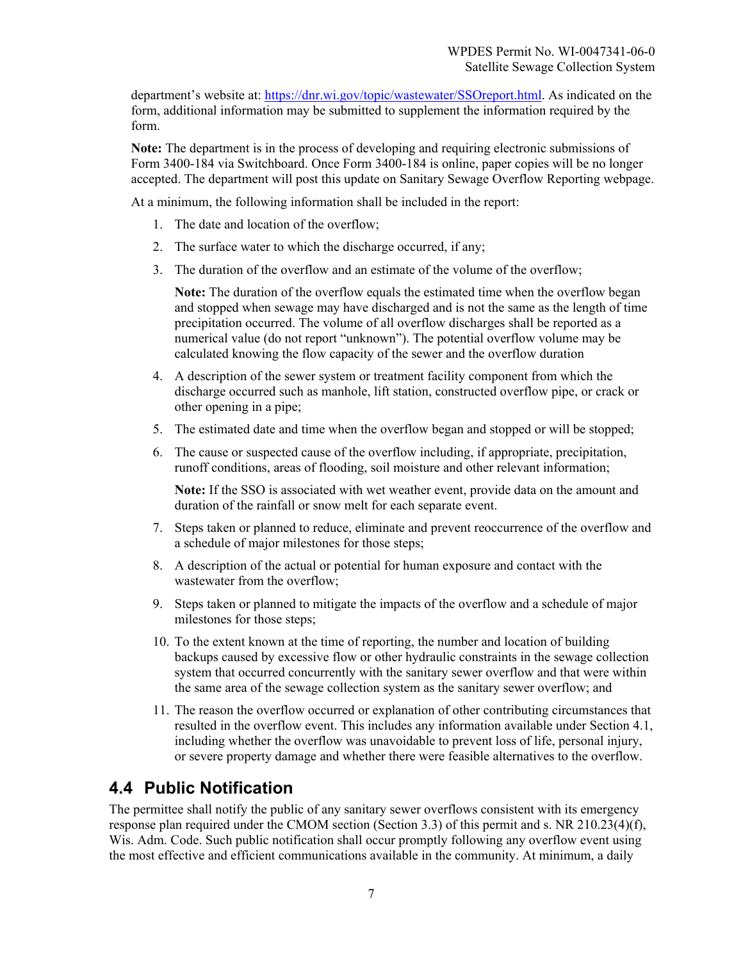department's website at: [https://dnr.wi.gov/topic/wastewater/SSOreport.html.](https://dnr.wi.gov/topic/wastewater/SSOreport.html) As indicated on the form, additional information may be submitted to supplement the information required by the form.

**Note:** The department is in the process of developing and requiring electronic submissions of Form 3400-184 via Switchboard. Once Form 3400-184 is online, paper copies will be no longer accepted. The department will post this update on Sanitary Sewage Overflow Reporting webpage.

At a minimum, the following information shall be included in the report:

- 1. The date and location of the overflow;
- 2. The surface water to which the discharge occurred, if any;
- 3. The duration of the overflow and an estimate of the volume of the overflow;

**Note:** The duration of the overflow equals the estimated time when the overflow began and stopped when sewage may have discharged and is not the same as the length of time precipitation occurred. The volume of all overflow discharges shall be reported as a numerical value (do not report "unknown"). The potential overflow volume may be calculated knowing the flow capacity of the sewer and the overflow duration

- 4. A description of the sewer system or treatment facility component from which the discharge occurred such as manhole, lift station, constructed overflow pipe, or crack or other opening in a pipe;
- 5. The estimated date and time when the overflow began and stopped or will be stopped;
- 6. The cause or suspected cause of the overflow including, if appropriate, precipitation, runoff conditions, areas of flooding, soil moisture and other relevant information;

**Note:** If the SSO is associated with wet weather event, provide data on the amount and duration of the rainfall or snow melt for each separate event.

- 7. Steps taken or planned to reduce, eliminate and prevent reoccurrence of the overflow and a schedule of major milestones for those steps;
- 8. A description of the actual or potential for human exposure and contact with the wastewater from the overflow;
- 9. Steps taken or planned to mitigate the impacts of the overflow and a schedule of major milestones for those steps;
- 10. To the extent known at the time of reporting, the number and location of building backups caused by excessive flow or other hydraulic constraints in the sewage collection system that occurred concurrently with the sanitary sewer overflow and that were within the same area of the sewage collection system as the sanitary sewer overflow; and
- 11. The reason the overflow occurred or explanation of other contributing circumstances that resulted in the overflow event. This includes any information available under Section 4.1, including whether the overflow was unavoidable to prevent loss of life, personal injury, or severe property damage and whether there were feasible alternatives to the overflow.

#### **4.4 Public Notification**

The permittee shall notify the public of any sanitary sewer overflows consistent with its emergency response plan required under the CMOM section (Section 3.3) of this permit and s. NR 210.23(4)(f), Wis. Adm. Code. Such public notification shall occur promptly following any overflow event using the most effective and efficient communications available in the community. At minimum, a daily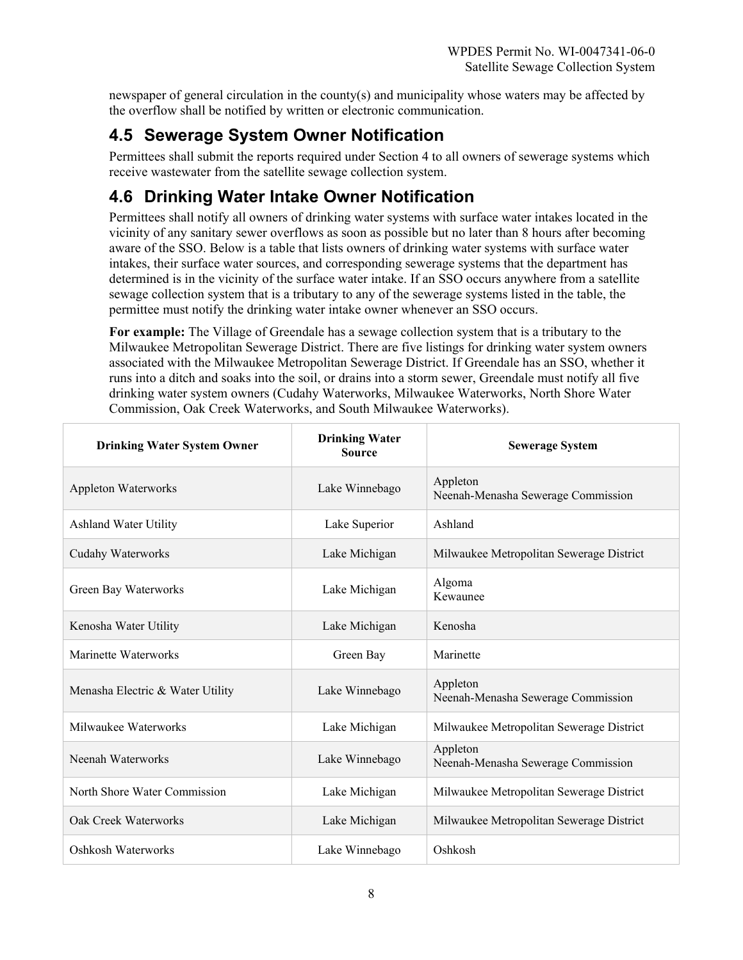newspaper of general circulation in the county(s) and municipality whose waters may be affected by the overflow shall be notified by written or electronic communication.

# **4.5 Sewerage System Owner Notification**

Permittees shall submit the reports required under Section 4 to all owners of sewerage systems which receive wastewater from the satellite sewage collection system.

# **4.6 Drinking Water Intake Owner Notification**

Permittees shall notify all owners of drinking water systems with surface water intakes located in the vicinity of any sanitary sewer overflows as soon as possible but no later than 8 hours after becoming aware of the SSO. Below is a table that lists owners of drinking water systems with surface water intakes, their surface water sources, and corresponding sewerage systems that the department has determined is in the vicinity of the surface water intake. If an SSO occurs anywhere from a satellite sewage collection system that is a tributary to any of the sewerage systems listed in the table, the permittee must notify the drinking water intake owner whenever an SSO occurs.

**For example:** The Village of Greendale has a sewage collection system that is a tributary to the Milwaukee Metropolitan Sewerage District. There are five listings for drinking water system owners associated with the Milwaukee Metropolitan Sewerage District. If Greendale has an SSO, whether it runs into a ditch and soaks into the soil, or drains into a storm sewer, Greendale must notify all five drinking water system owners (Cudahy Waterworks, Milwaukee Waterworks, North Shore Water Commission, Oak Creek Waterworks, and South Milwaukee Waterworks).

| <b>Drinking Water System Owner</b> | <b>Drinking Water</b><br><b>Source</b> | <b>Sewerage System</b>                         |
|------------------------------------|----------------------------------------|------------------------------------------------|
| Appleton Waterworks                | Lake Winnebago                         | Appleton<br>Neenah-Menasha Sewerage Commission |
| <b>Ashland Water Utility</b>       | Lake Superior                          | Ashland                                        |
| Cudahy Waterworks                  | Lake Michigan                          | Milwaukee Metropolitan Sewerage District       |
| Green Bay Waterworks               | Lake Michigan                          | Algoma<br>Kewaunee                             |
| Kenosha Water Utility              | Lake Michigan                          | Kenosha                                        |
| Marinette Waterworks               | Green Bay                              | Marinette                                      |
| Menasha Electric & Water Utility   | Lake Winnebago                         | Appleton<br>Neenah-Menasha Sewerage Commission |
| Milwaukee Waterworks               | Lake Michigan                          | Milwaukee Metropolitan Sewerage District       |
| Neenah Waterworks                  | Lake Winnebago                         | Appleton<br>Neenah-Menasha Sewerage Commission |
| North Shore Water Commission       | Lake Michigan                          | Milwaukee Metropolitan Sewerage District       |
| Oak Creek Waterworks               | Lake Michigan                          | Milwaukee Metropolitan Sewerage District       |
| Oshkosh Waterworks                 | Lake Winnebago                         | Oshkosh                                        |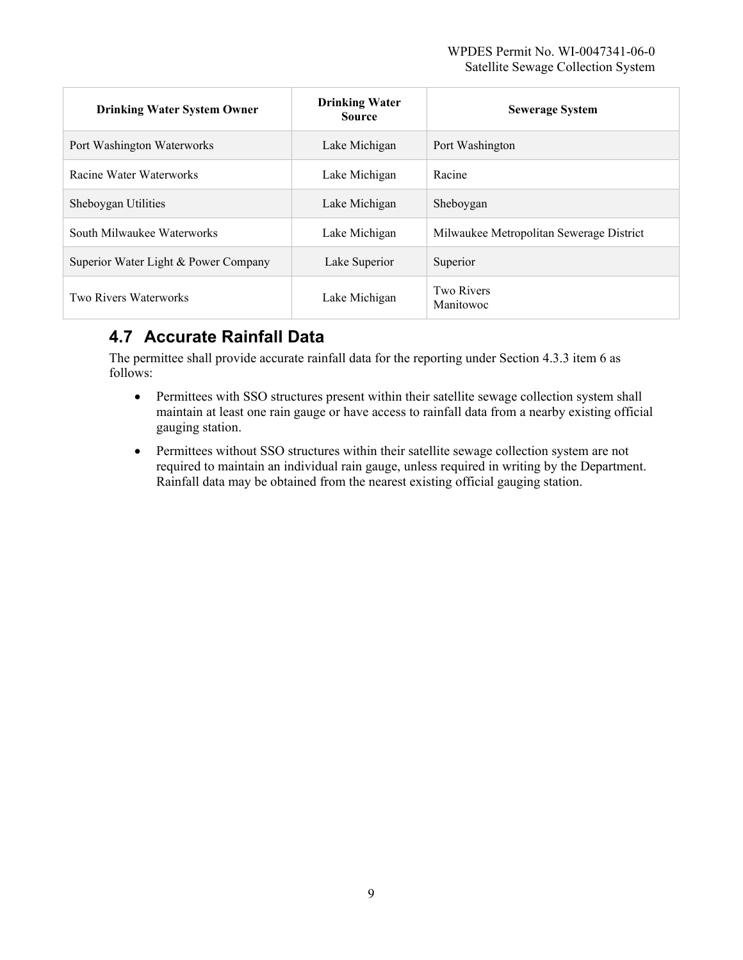| <b>Drinking Water System Owner</b>   | <b>Drinking Water</b><br><b>Source</b> | <b>Sewerage System</b>                   |
|--------------------------------------|----------------------------------------|------------------------------------------|
| Port Washington Waterworks           | Lake Michigan                          | Port Washington                          |
| Racine Water Waterworks              | Lake Michigan                          | Racine                                   |
| Sheboygan Utilities                  | Lake Michigan                          | Sheboygan                                |
| South Milwaukee Waterworks           | Lake Michigan                          | Milwaukee Metropolitan Sewerage District |
| Superior Water Light & Power Company | Lake Superior                          | Superior                                 |
| Two Rivers Waterworks                | Lake Michigan                          | Two Rivers<br>Manitowoc                  |

# **4.7 Accurate Rainfall Data**

The permittee shall provide accurate rainfall data for the reporting under Section 4.3.3 item 6 as follows:

- Permittees with SSO structures present within their satellite sewage collection system shall maintain at least one rain gauge or have access to rainfall data from a nearby existing official gauging station.
- Permittees without SSO structures within their satellite sewage collection system are not required to maintain an individual rain gauge, unless required in writing by the Department. Rainfall data may be obtained from the nearest existing official gauging station.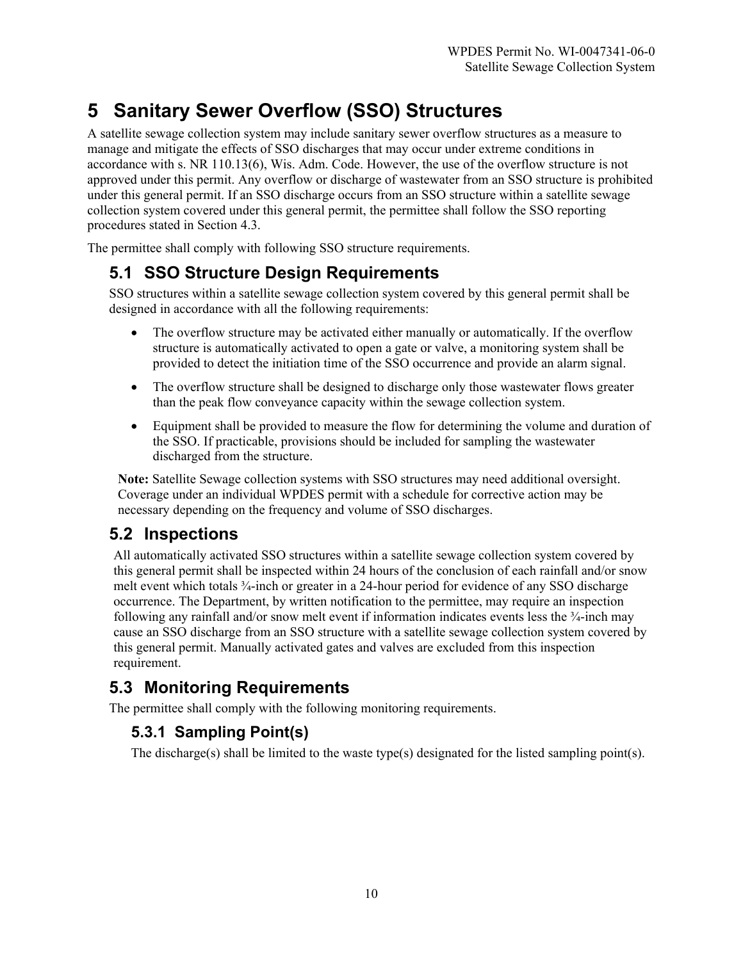# **5 Sanitary Sewer Overflow (SSO) Structures**

A satellite sewage collection system may include sanitary sewer overflow structures as a measure to manage and mitigate the effects of SSO discharges that may occur under extreme conditions in accordance with s. NR 110.13(6), Wis. Adm. Code. However, the use of the overflow structure is not approved under this permit. Any overflow or discharge of wastewater from an SSO structure is prohibited under this general permit. If an SSO discharge occurs from an SSO structure within a satellite sewage collection system covered under this general permit, the permittee shall follow the SSO reporting procedures stated in Section 4.3.

The permittee shall comply with following SSO structure requirements.

# **5.1 SSO Structure Design Requirements**

SSO structures within a satellite sewage collection system covered by this general permit shall be designed in accordance with all the following requirements:

- The overflow structure may be activated either manually or automatically. If the overflow structure is automatically activated to open a gate or valve, a monitoring system shall be provided to detect the initiation time of the SSO occurrence and provide an alarm signal.
- The overflow structure shall be designed to discharge only those wastewater flows greater than the peak flow conveyance capacity within the sewage collection system.
- Equipment shall be provided to measure the flow for determining the volume and duration of the SSO. If practicable, provisions should be included for sampling the wastewater discharged from the structure.

**Note:** Satellite Sewage collection systems with SSO structures may need additional oversight. Coverage under an individual WPDES permit with a schedule for corrective action may be necessary depending on the frequency and volume of SSO discharges.

# **5.2 Inspections**

All automatically activated SSO structures within a satellite sewage collection system covered by this general permit shall be inspected within 24 hours of the conclusion of each rainfall and/or snow melt event which totals ¾-inch or greater in a 24-hour period for evidence of any SSO discharge occurrence. The Department, by written notification to the permittee, may require an inspection following any rainfall and/or snow melt event if information indicates events less the  $\frac{3}{4}$ -inch may cause an SSO discharge from an SSO structure with a satellite sewage collection system covered by this general permit. Manually activated gates and valves are excluded from this inspection requirement.

# **5.3 Monitoring Requirements**

The permittee shall comply with the following monitoring requirements.

#### **5.3.1 Sampling Point(s)**

The discharge(s) shall be limited to the waste type(s) designated for the listed sampling point(s).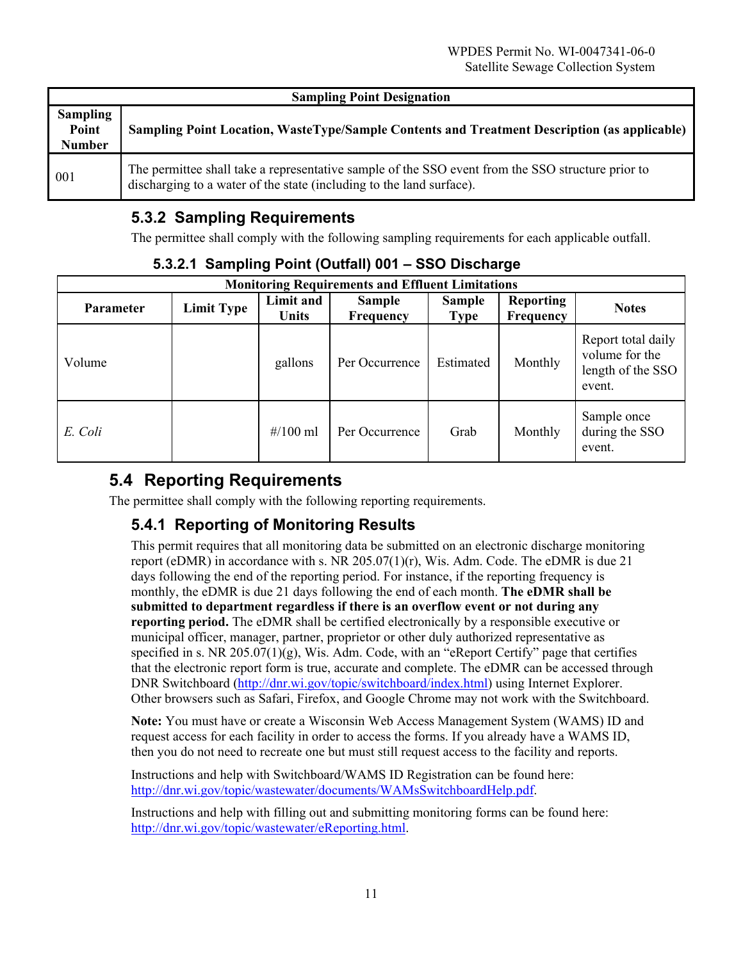| <b>Sampling Point Designation</b>         |                                                                                                                                                                           |  |  |
|-------------------------------------------|---------------------------------------------------------------------------------------------------------------------------------------------------------------------------|--|--|
| <b>Sampling</b><br>Point<br><b>Number</b> | Sampling Point Location, WasteType/Sample Contents and Treatment Description (as applicable)                                                                              |  |  |
| 001                                       | The permittee shall take a representative sample of the SSO event from the SSO structure prior to<br>discharging to a water of the state (including to the land surface). |  |  |

# **5.3.2 Sampling Requirements**

The permittee shall comply with the following sampling requirements for each applicable outfall.

| <b>Monitoring Requirements and Effluent Limitations</b> |                   |                    |                            |                              |                               |                                                                     |
|---------------------------------------------------------|-------------------|--------------------|----------------------------|------------------------------|-------------------------------|---------------------------------------------------------------------|
| <b>Parameter</b>                                        | <b>Limit Type</b> | Limit and<br>Units | <b>Sample</b><br>Frequency | <b>Sample</b><br><b>Type</b> | <b>Reporting</b><br>Frequency | <b>Notes</b>                                                        |
| Volume                                                  |                   | gallons            | Per Occurrence             | Estimated                    | Monthly                       | Report total daily<br>volume for the<br>length of the SSO<br>event. |
| E. Coli                                                 |                   | # $/100$ ml        | Per Occurrence             | Grab                         | Monthly                       | Sample once<br>during the SSO<br>event.                             |

#### **5.3.2.1 Sampling Point (Outfall) 001 – SSO Discharge**

# **5.4 Reporting Requirements**

The permittee shall comply with the following reporting requirements.

# **5.4.1 Reporting of Monitoring Results**

This permit requires that all monitoring data be submitted on an electronic discharge monitoring report (eDMR) in accordance with s. NR  $205.07(1)(r)$ , Wis. Adm. Code. The eDMR is due 21 days following the end of the reporting period. For instance, if the reporting frequency is monthly, the eDMR is due 21 days following the end of each month. **The eDMR shall be submitted to department regardless if there is an overflow event or not during any reporting period.** The eDMR shall be certified electronically by a responsible executive or municipal officer, manager, partner, proprietor or other duly authorized representative as specified in s. NR 205.07(1)(g), Wis. Adm. Code, with an "eReport Certify" page that certifies that the electronic report form is true, accurate and complete. The eDMR can be accessed through DNR Switchboard [\(http://dnr.wi.gov/topic/switchboard/index.html\)](http://dnr.wi.gov/topic/switchboard/index.html) using Internet Explorer. Other browsers such as Safari, Firefox, and Google Chrome may not work with the Switchboard.

**Note:** You must have or create a Wisconsin Web Access Management System (WAMS) ID and request access for each facility in order to access the forms. If you already have a WAMS ID, then you do not need to recreate one but must still request access to the facility and reports.

Instructions and help with Switchboard/WAMS ID Registration can be found here: [http://dnr.wi.gov/topic/wastewater/documents/WAMsSwitchboardHelp.pdf.](http://dnr.wi.gov/topic/wastewater/documents/WAMsSwitchboardHelp.pdf)

Instructions and help with filling out and submitting monitoring forms can be found here: [http://dnr.wi.gov/topic/wastewater/eReporting.html.](http://dnr.wi.gov/topic/wastewater/eReporting.html)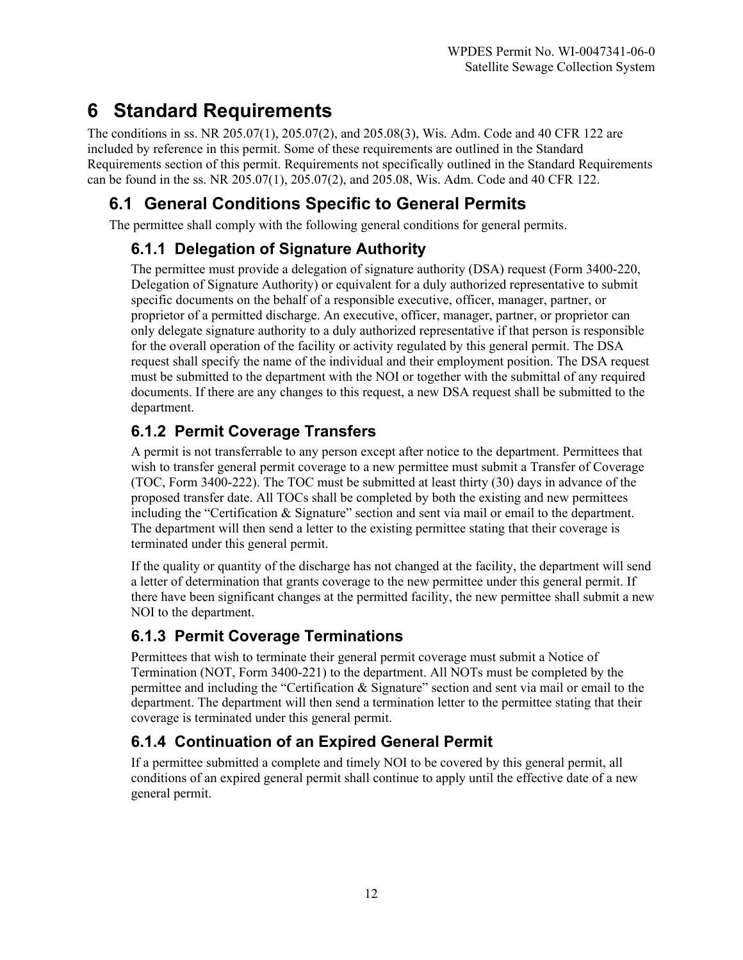# **6 Standard Requirements**

The conditions in ss. NR 205.07(1), 205.07(2), and 205.08(3), Wis. Adm. Code and 40 CFR 122 are included by reference in this permit. Some of these requirements are outlined in the Standard Requirements section of this permit. Requirements not specifically outlined in the Standard Requirements can be found in the ss. NR 205.07(1), 205.07(2), and 205.08, Wis. Adm. Code and 40 CFR 122.

# **6.1 General Conditions Specific to General Permits**

The permittee shall comply with the following general conditions for general permits.

# **6.1.1 Delegation of Signature Authority**

The permittee must provide a delegation of signature authority (DSA) request (Form 3400-220, Delegation of Signature Authority) or equivalent for a duly authorized representative to submit specific documents on the behalf of a responsible executive, officer, manager, partner, or proprietor of a permitted discharge. An executive, officer, manager, partner, or proprietor can only delegate signature authority to a duly authorized representative if that person is responsible for the overall operation of the facility or activity regulated by this general permit. The DSA request shall specify the name of the individual and their employment position. The DSA request must be submitted to the department with the NOI or together with the submittal of any required documents. If there are any changes to this request, a new DSA request shall be submitted to the department.

# **6.1.2 Permit Coverage Transfers**

A permit is not transferrable to any person except after notice to the department. Permittees that wish to transfer general permit coverage to a new permittee must submit a Transfer of Coverage (TOC, Form 3400-222). The TOC must be submitted at least thirty (30) days in advance of the proposed transfer date. All TOCs shall be completed by both the existing and new permittees including the "Certification & Signature" section and sent via mail or email to the department. The department will then send a letter to the existing permittee stating that their coverage is terminated under this general permit.

If the quality or quantity of the discharge has not changed at the facility, the department will send a letter of determination that grants coverage to the new permittee under this general permit. If there have been significant changes at the permitted facility, the new permittee shall submit a new NOI to the department.

# **6.1.3 Permit Coverage Terminations**

Permittees that wish to terminate their general permit coverage must submit a Notice of Termination (NOT, Form 3400-221) to the department. All NOTs must be completed by the permittee and including the "Certification & Signature" section and sent via mail or email to the department. The department will then send a termination letter to the permittee stating that their coverage is terminated under this general permit.

# **6.1.4 Continuation of an Expired General Permit**

If a permittee submitted a complete and timely NOI to be covered by this general permit, all conditions of an expired general permit shall continue to apply until the effective date of a new general permit.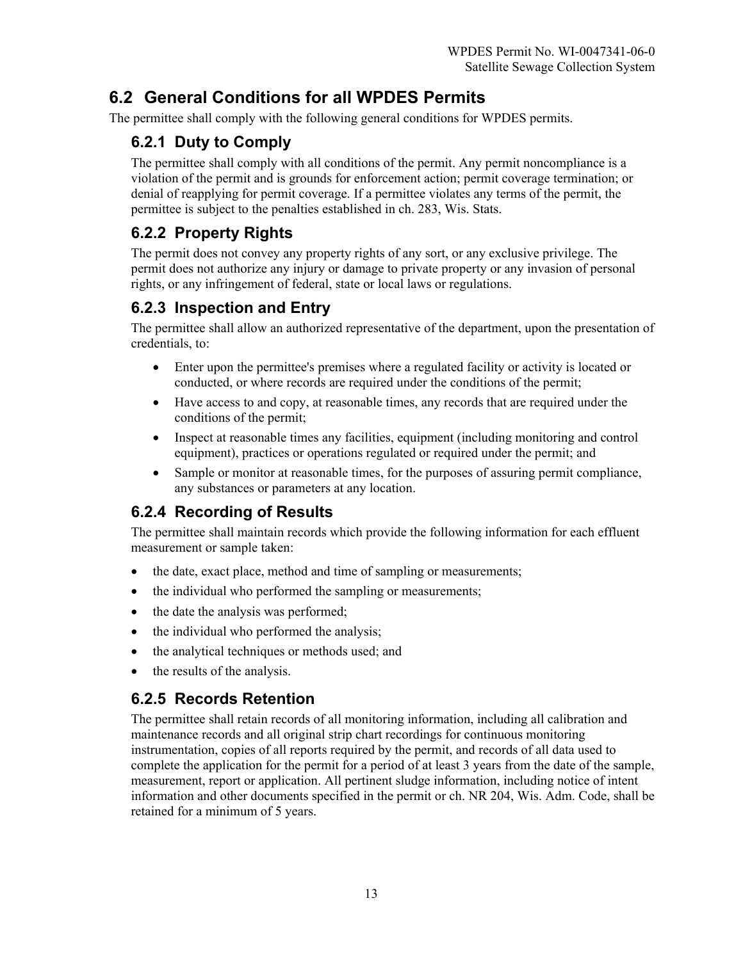# **6.2 General Conditions for all WPDES Permits**

The permittee shall comply with the following general conditions for WPDES permits.

#### **6.2.1 Duty to Comply**

The permittee shall comply with all conditions of the permit. Any permit noncompliance is a violation of the permit and is grounds for enforcement action; permit coverage termination; or denial of reapplying for permit coverage. If a permittee violates any terms of the permit, the permittee is subject to the penalties established in ch. 283, Wis. Stats.

#### **6.2.2 Property Rights**

The permit does not convey any property rights of any sort, or any exclusive privilege. The permit does not authorize any injury or damage to private property or any invasion of personal rights, or any infringement of federal, state or local laws or regulations.

#### **6.2.3 Inspection and Entry**

The permittee shall allow an authorized representative of the department, upon the presentation of credentials, to:

- Enter upon the permittee's premises where a regulated facility or activity is located or conducted, or where records are required under the conditions of the permit;
- Have access to and copy, at reasonable times, any records that are required under the conditions of the permit;
- Inspect at reasonable times any facilities, equipment (including monitoring and control equipment), practices or operations regulated or required under the permit; and
- Sample or monitor at reasonable times, for the purposes of assuring permit compliance, any substances or parameters at any location.

# **6.2.4 Recording of Results**

The permittee shall maintain records which provide the following information for each effluent measurement or sample taken:

- the date, exact place, method and time of sampling or measurements;
- the individual who performed the sampling or measurements;
- the date the analysis was performed;
- the individual who performed the analysis;
- the analytical techniques or methods used; and
- the results of the analysis.

#### **6.2.5 Records Retention**

The permittee shall retain records of all monitoring information, including all calibration and maintenance records and all original strip chart recordings for continuous monitoring instrumentation, copies of all reports required by the permit, and records of all data used to complete the application for the permit for a period of at least 3 years from the date of the sample, measurement, report or application. All pertinent sludge information, including notice of intent information and other documents specified in the permit or ch. NR 204, Wis. Adm. Code, shall be retained for a minimum of 5 years.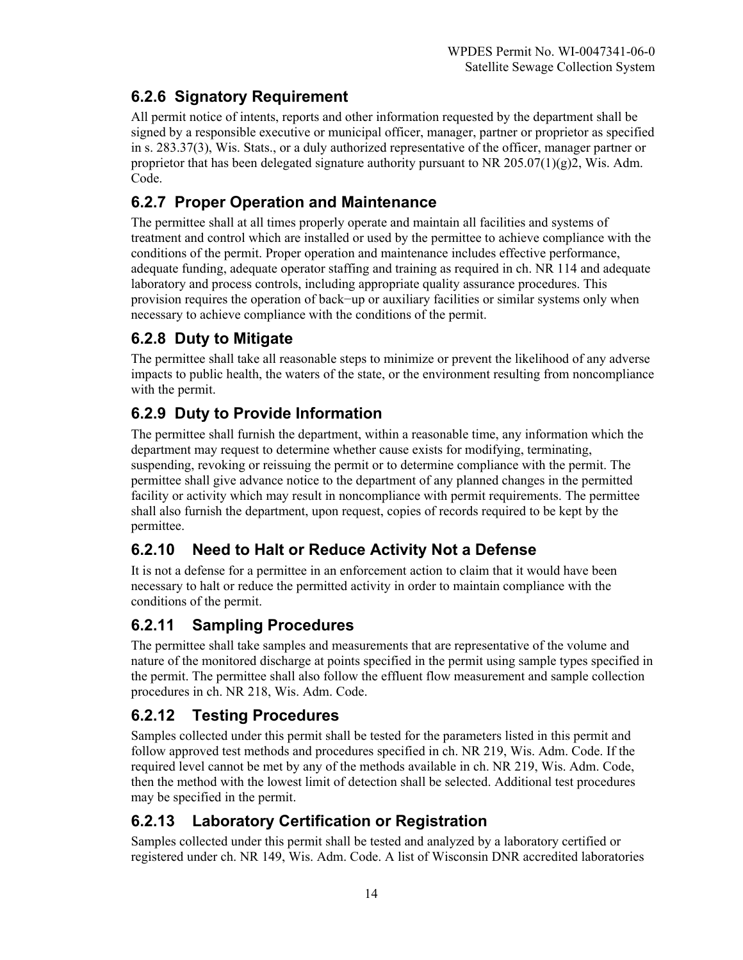# **6.2.6 Signatory Requirement**

All permit notice of intents, reports and other information requested by the department shall be signed by a responsible executive or municipal officer, manager, partner or proprietor as specified in s. 283.37(3), Wis. Stats., or a duly authorized representative of the officer, manager partner or proprietor that has been delegated signature authority pursuant to NR 205.07(1)(g)2, Wis. Adm. Code.

# **6.2.7 Proper Operation and Maintenance**

The permittee shall at all times properly operate and maintain all facilities and systems of treatment and control which are installed or used by the permittee to achieve compliance with the conditions of the permit. Proper operation and maintenance includes effective performance, adequate funding, adequate operator staffing and training as required in ch. NR 114 and adequate laboratory and process controls, including appropriate quality assurance procedures. This provision requires the operation of back−up or auxiliary facilities or similar systems only when necessary to achieve compliance with the conditions of the permit.

# **6.2.8 Duty to Mitigate**

The permittee shall take all reasonable steps to minimize or prevent the likelihood of any adverse impacts to public health, the waters of the state, or the environment resulting from noncompliance with the permit.

# **6.2.9 Duty to Provide Information**

The permittee shall furnish the department, within a reasonable time, any information which the department may request to determine whether cause exists for modifying, terminating, suspending, revoking or reissuing the permit or to determine compliance with the permit. The permittee shall give advance notice to the department of any planned changes in the permitted facility or activity which may result in noncompliance with permit requirements. The permittee shall also furnish the department, upon request, copies of records required to be kept by the permittee.

# **6.2.10 Need to Halt or Reduce Activity Not a Defense**

It is not a defense for a permittee in an enforcement action to claim that it would have been necessary to halt or reduce the permitted activity in order to maintain compliance with the conditions of the permit.

# **6.2.11 Sampling Procedures**

The permittee shall take samples and measurements that are representative of the volume and nature of the monitored discharge at points specified in the permit using sample types specified in the permit. The permittee shall also follow the effluent flow measurement and sample collection procedures in ch. NR 218, Wis. Adm. Code.

#### **6.2.12 Testing Procedures**

Samples collected under this permit shall be tested for the parameters listed in this permit and follow approved test methods and procedures specified in ch. NR 219, Wis. Adm. Code. If the required level cannot be met by any of the methods available in ch. NR 219, Wis. Adm. Code, then the method with the lowest limit of detection shall be selected. Additional test procedures may be specified in the permit.

#### **6.2.13 Laboratory Certification or Registration**

Samples collected under this permit shall be tested and analyzed by a laboratory certified or registered under ch. NR 149, Wis. Adm. Code. A list of Wisconsin DNR accredited laboratories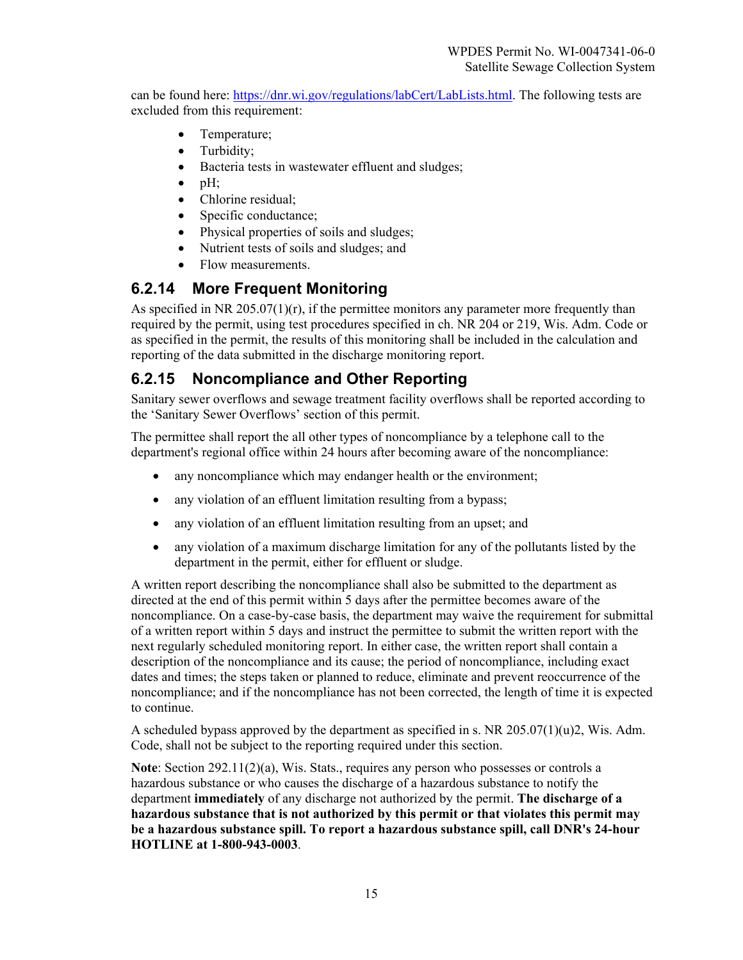can be found here: [https://dnr.wi.gov/regulations/labCert/LabLists.html.](https://dnr.wi.gov/regulations/labCert/LabLists.html) The following tests are excluded from this requirement:

- Temperature;
- Turbidity;
- Bacteria tests in wastewater effluent and sludges;
- $\bullet$  pH:
- Chlorine residual;
- Specific conductance;
- Physical properties of soils and sludges;
- Nutrient tests of soils and sludges; and
- Flow measurements.

#### **6.2.14 More Frequent Monitoring**

As specified in NR 205.07(1) $(r)$ , if the permittee monitors any parameter more frequently than required by the permit, using test procedures specified in ch. NR 204 or 219, Wis. Adm. Code or as specified in the permit, the results of this monitoring shall be included in the calculation and reporting of the data submitted in the discharge monitoring report.

#### **6.2.15 Noncompliance and Other Reporting**

Sanitary sewer overflows and sewage treatment facility overflows shall be reported according to the 'Sanitary Sewer Overflows' section of this permit.

The permittee shall report the all other types of noncompliance by a telephone call to the department's regional office within 24 hours after becoming aware of the noncompliance:

- any noncompliance which may endanger health or the environment;
- any violation of an effluent limitation resulting from a bypass;
- any violation of an effluent limitation resulting from an upset; and
- any violation of a maximum discharge limitation for any of the pollutants listed by the department in the permit, either for effluent or sludge.

A written report describing the noncompliance shall also be submitted to the department as directed at the end of this permit within 5 days after the permittee becomes aware of the noncompliance. On a case-by-case basis, the department may waive the requirement for submittal of a written report within 5 days and instruct the permittee to submit the written report with the next regularly scheduled monitoring report. In either case, the written report shall contain a description of the noncompliance and its cause; the period of noncompliance, including exact dates and times; the steps taken or planned to reduce, eliminate and prevent reoccurrence of the noncompliance; and if the noncompliance has not been corrected, the length of time it is expected to continue.

A scheduled bypass approved by the department as specified in s. NR  $205.07(1)(u)2$ , Wis. Adm. Code, shall not be subject to the reporting required under this section.

**Note**: Section 292.11(2)(a), Wis. Stats., requires any person who possesses or controls a hazardous substance or who causes the discharge of a hazardous substance to notify the department **immediately** of any discharge not authorized by the permit. **The discharge of a hazardous substance that is not authorized by this permit or that violates this permit may be a hazardous substance spill. To report a hazardous substance spill, call DNR's 24-hour HOTLINE at 1-800-943-0003**.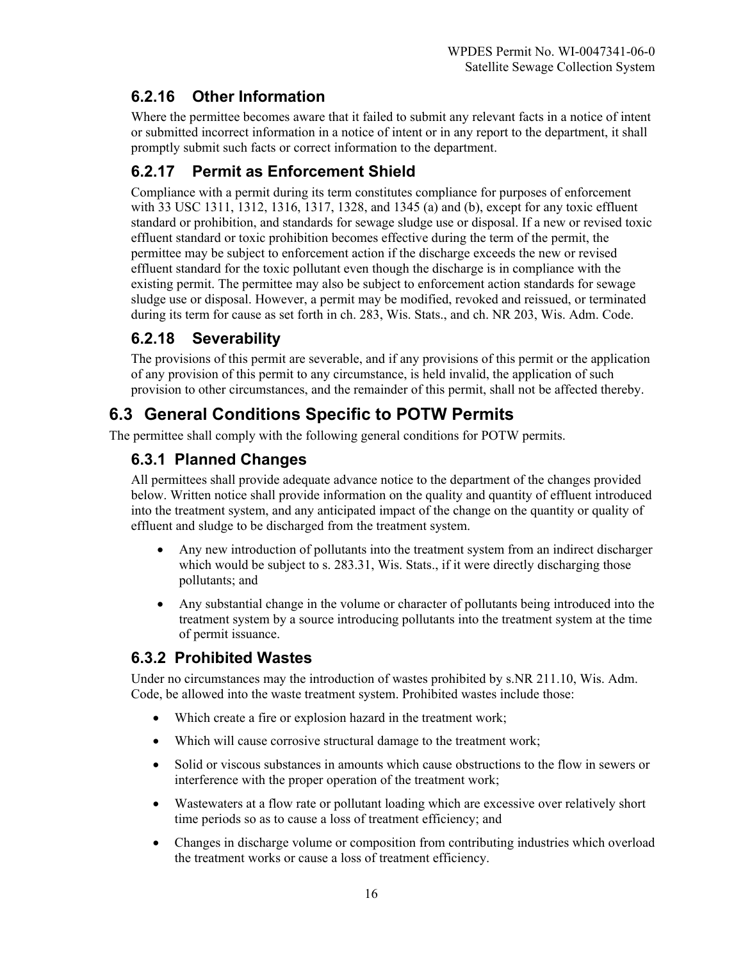#### **6.2.16 Other Information**

Where the permittee becomes aware that it failed to submit any relevant facts in a notice of intent or submitted incorrect information in a notice of intent or in any report to the department, it shall promptly submit such facts or correct information to the department.

### **6.2.17 Permit as Enforcement Shield**

Compliance with a permit during its term constitutes compliance for purposes of enforcement with 33 USC 1311, 1312, 1316, 1317, 1328, and 1345 (a) and (b), except for any toxic effluent standard or prohibition, and standards for sewage sludge use or disposal. If a new or revised toxic effluent standard or toxic prohibition becomes effective during the term of the permit, the permittee may be subject to enforcement action if the discharge exceeds the new or revised effluent standard for the toxic pollutant even though the discharge is in compliance with the existing permit. The permittee may also be subject to enforcement action standards for sewage sludge use or disposal. However, a permit may be modified, revoked and reissued, or terminated during its term for cause as set forth in ch. 283, Wis. Stats., and ch. NR 203, Wis. Adm. Code.

# **6.2.18 Severability**

The provisions of this permit are severable, and if any provisions of this permit or the application of any provision of this permit to any circumstance, is held invalid, the application of such provision to other circumstances, and the remainder of this permit, shall not be affected thereby.

# **6.3 General Conditions Specific to POTW Permits**

The permittee shall comply with the following general conditions for POTW permits.

#### **6.3.1 Planned Changes**

All permittees shall provide adequate advance notice to the department of the changes provided below. Written notice shall provide information on the quality and quantity of effluent introduced into the treatment system, and any anticipated impact of the change on the quantity or quality of effluent and sludge to be discharged from the treatment system.

- Any new introduction of pollutants into the treatment system from an indirect discharger which would be subject to s. 283.31, Wis. Stats., if it were directly discharging those pollutants; and
- Any substantial change in the volume or character of pollutants being introduced into the treatment system by a source introducing pollutants into the treatment system at the time of permit issuance.

# **6.3.2 Prohibited Wastes**

Under no circumstances may the introduction of wastes prohibited by s.NR 211.10, Wis. Adm. Code, be allowed into the waste treatment system. Prohibited wastes include those:

- Which create a fire or explosion hazard in the treatment work;
- Which will cause corrosive structural damage to the treatment work;
- Solid or viscous substances in amounts which cause obstructions to the flow in sewers or interference with the proper operation of the treatment work;
- Wastewaters at a flow rate or pollutant loading which are excessive over relatively short time periods so as to cause a loss of treatment efficiency; and
- Changes in discharge volume or composition from contributing industries which overload the treatment works or cause a loss of treatment efficiency.